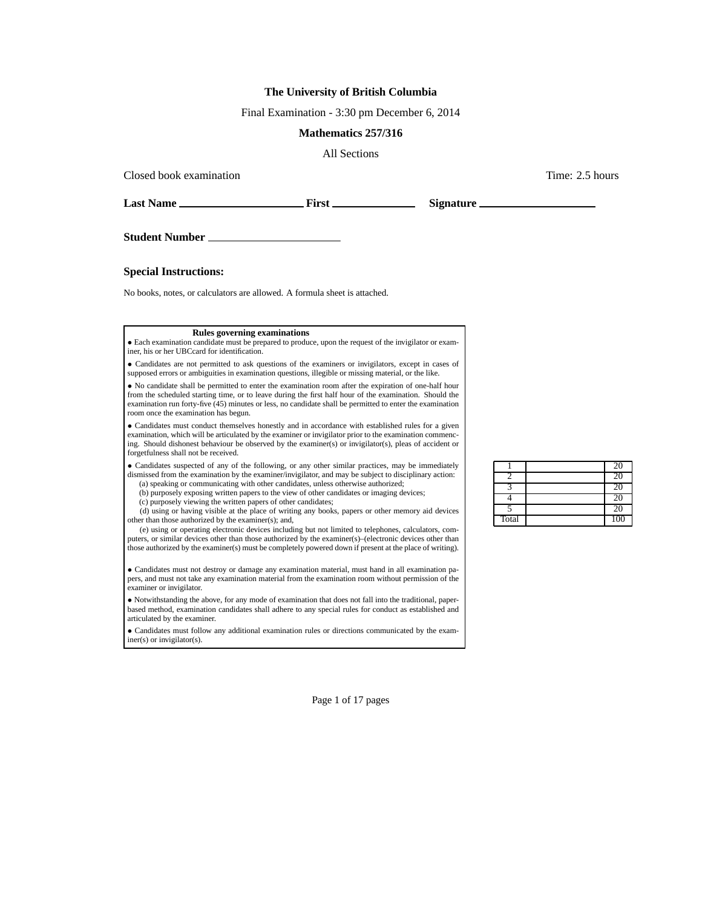## **The University of British Columbia**

Final Examination - 3:30 pm December 6, 2014

## **Mathematics 257/316**

All Sections

Closed book examination  $\blacksquare$  2.5 hours  $\blacksquare$  Time: 2.5 hours  $\blacksquare$ 

**Last Name First Signature**

**Student Number**

**Special Instructions:**

No books, notes, or calculators are allowed. A formula sheet is attached.

## **Rules governing examinations**

• Each examination candidate must be prepared to produce, upon the request of the invigilator or examiner, his or her UBCcard for identification.

• Candidates are not permitted to ask questions of the examiners or invigilators, except in cases of supposed errors or ambiguities in examination questions, illegible or missing material, or the like.

• No candidate shall be permitted to enter the examination room after the expiration of one-half hour from the scheduled starting time, or to leave during the first half hour of the examination. Should the examination run forty-five (45) minutes or less, no candidate shall be permitted to enter the examination room once the examination has begun.

• Candidates must conduct themselves honestly and in accordance with established rules for a given examination, which will be articulated by the examiner or invigilator prior to the examination commencing. Should dishonest behaviour be observed by the examiner(s) or invigilator(s), pleas of accident or forgetfulness shall not be received.

• Candidates suspected of any of the following, or any other similar practices, may be immediately dismissed from the examination by the examiner/invigilator, and may be subject to disciplinary action: (a) speaking or communicating with other candidates, unless otherwise authorized;

(b) purposely exposing written papers to the view of other candidates or imaging devices;

(c) purposely viewing the written papers of other candidates;

(d) using or having visible at the place of writing any books, papers or other memory aid devices other than those authorized by the examiner(s); and,

(e) using or operating electronic devices including but not limited to telephones, calculators, computers, or similar devices other than those authorized by the examiner(s)–(electronic devices other than those authorized by the examiner(s) must be completely powered down if present at the place of writing).

• Candidates must not destroy or damage any examination material, must hand in all examination papers, and must not take any examination material from the examination room without permission of the examiner or invigilator.

• Notwithstanding the above, for any mode of examination that does not fall into the traditional, paperbased method, examination candidates shall adhere to any special rules for conduct as established and articulated by the examiner.

• Candidates must follow any additional examination rules or directions communicated by the examiner(s) or invigilator(s).

|       | <b>20</b> |
|-------|-----------|
|       |           |
|       |           |
|       | 20        |
|       | 20        |
| Total | 100       |

Page 1 of 17 pages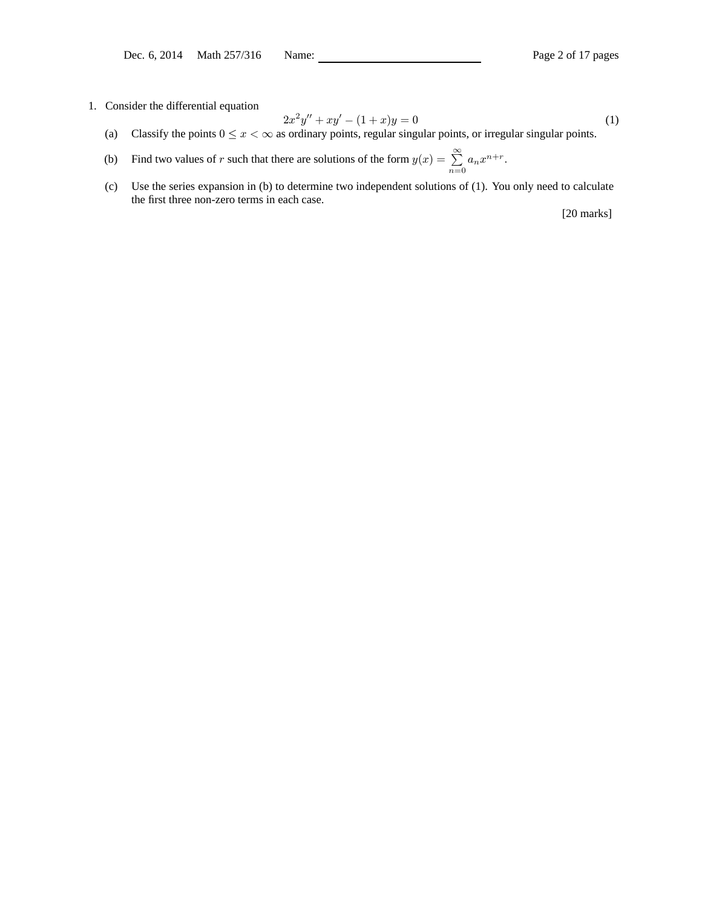1. Consider the differential equation

$$
2x^2y'' + xy' - (1+x)y = 0\tag{1}
$$

(a) Classify the points  $0 \le x < \infty$  as ordinary points, regular singular points, or irregular singular points.

(b) Find two values of r such that there are solutions of the form  $y(x) = \sum_{r=1}^{\infty}$  $\sum_{n=0} a_n x^{n+r}.$ 

(c) Use the series expansion in (b) to determine two independent solutions of (1). You only need to calculate the first three non-zero terms in each case.

[20 marks]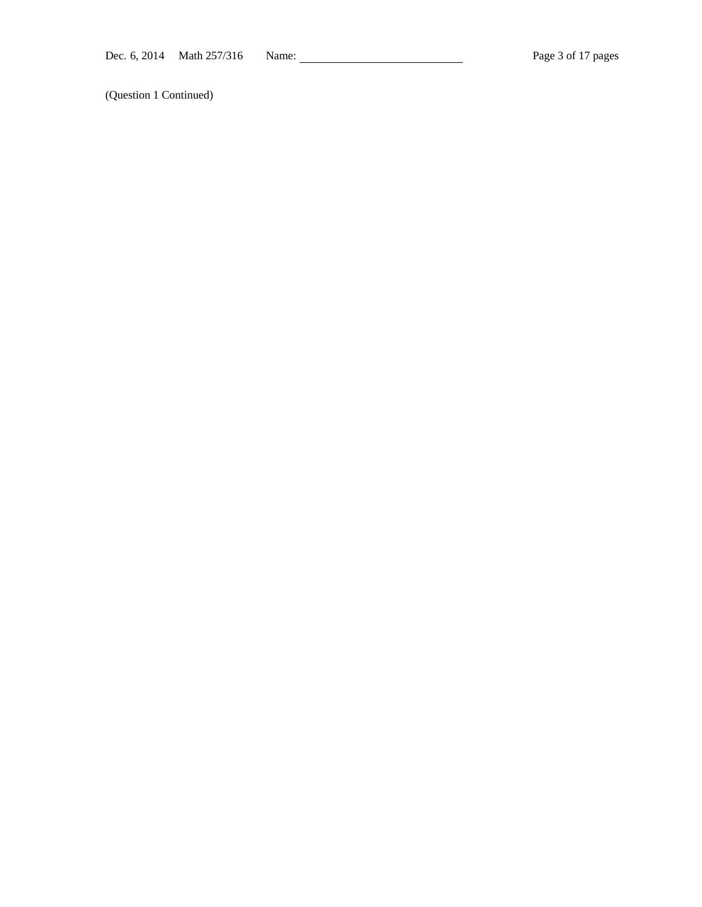(Question 1 Continued)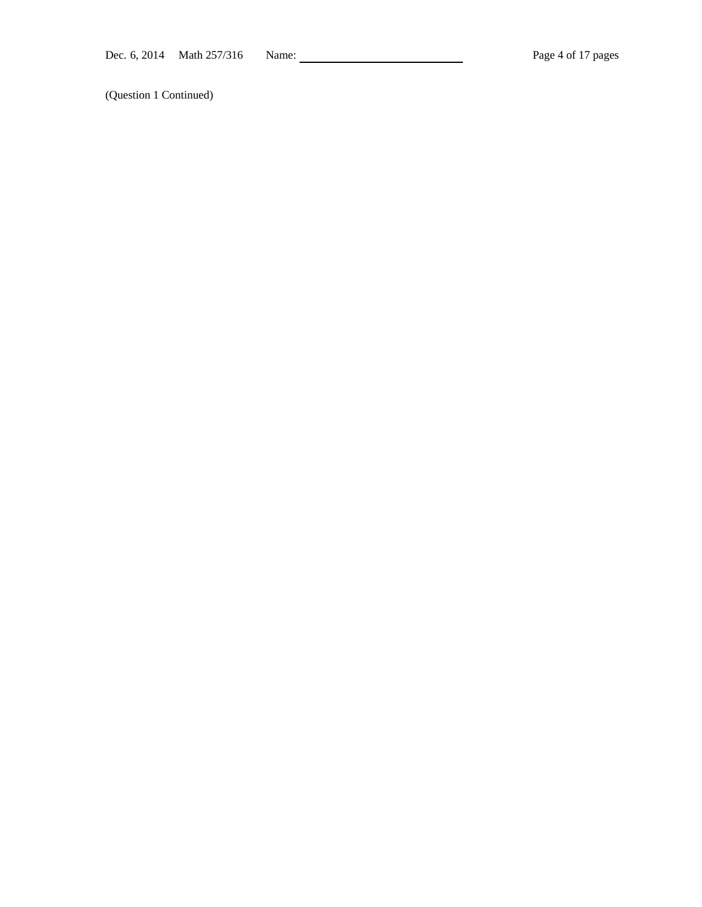(Question 1 Continued)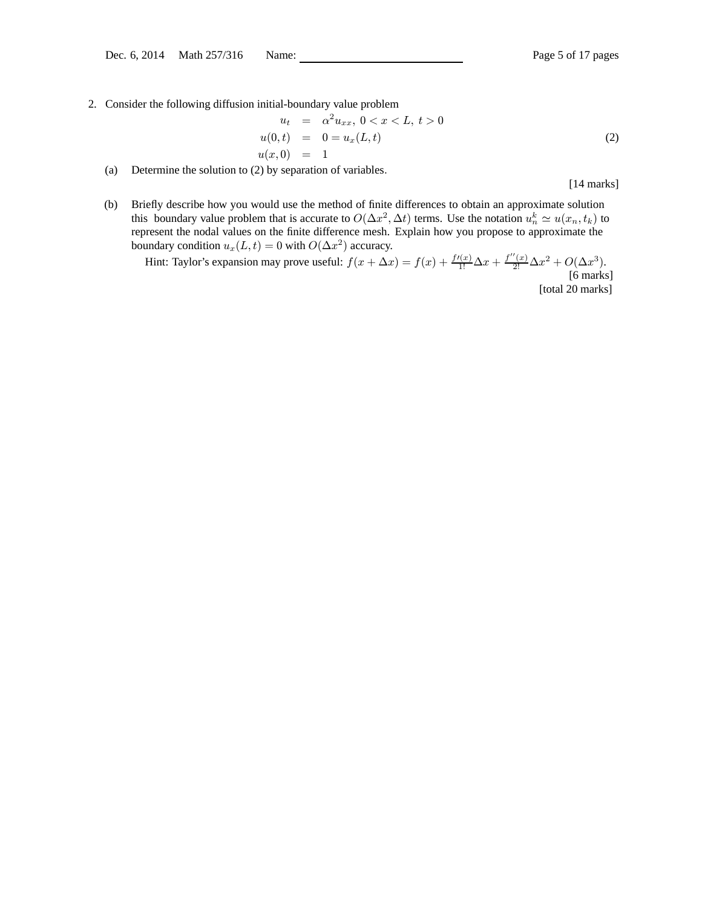2. Consider the following diffusion initial-boundary value problem

$$
u_t = \alpha^2 u_{xx}, \ 0 < x < L, \ t > 0
$$
\n
$$
u(0, t) = 0 = u_x(L, t)
$$
\n
$$
u(x, 0) = 1 \tag{2}
$$

(a) Determine the solution to (2) by separation of variables.

[14 marks]

(b) Briefly describe how you would use the method of finite differences to obtain an approximate solution this boundary value problem that is accurate to  $O(\Delta x^2, \Delta t)$  terms. Use the notation  $u_n^k \simeq u(x_n, t_k)$  to represent the nodal values on the finite difference mesh. Explain how you propose to approximate the boundary condition  $u_x(L, t) = 0$  with  $O(\Delta x^2)$  accuracy.

Hint: Taylor's expansion may prove useful:  $f(x + \Delta x) = f(x) + \frac{f'(x)}{1!} \Delta x + \frac{f''(x)}{2!} \Delta x^2 + O(\Delta x^3)$ . [6 marks] [total 20 marks]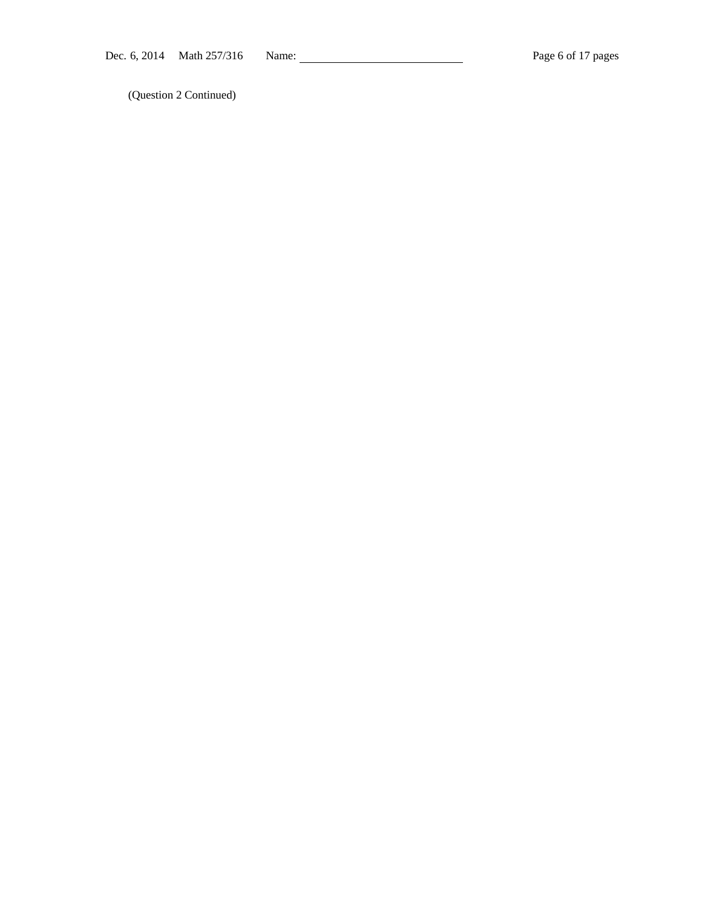(Question 2 Continued)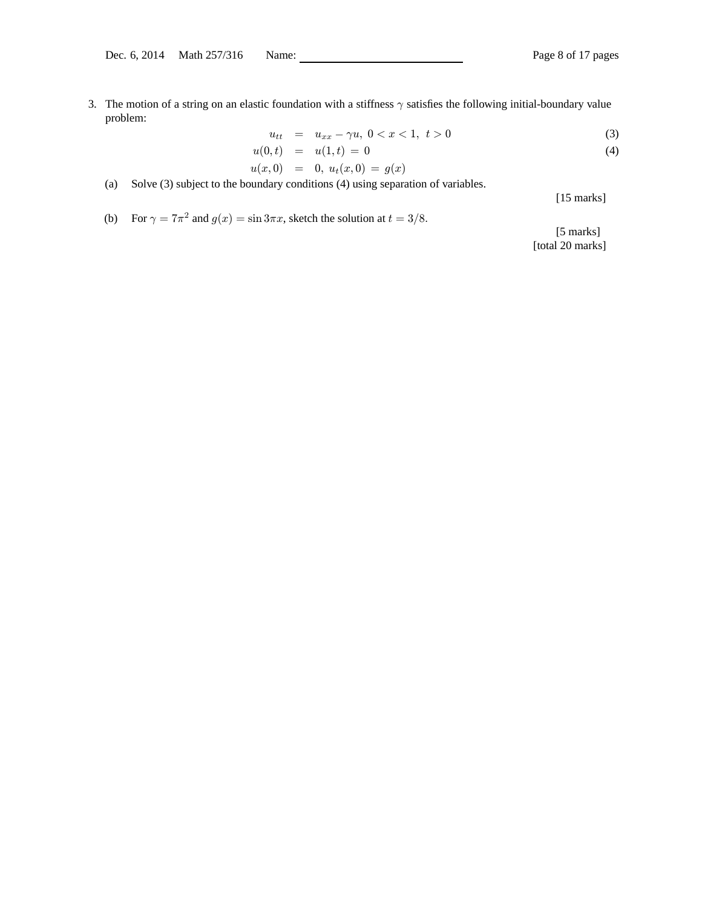3. The motion of a string on an elastic foundation with a stiffness  $\gamma$  satisfies the following initial-boundary value problem:

$$
u_{tt} = u_{xx} - \gamma u, \ 0 < x < 1, \ t > 0 \tag{3}
$$

$$
u(0,t) = u(1,t) = 0
$$
  
\n
$$
u(r,0) = 0, u_r(r,0) = g(r)
$$
\n(4)

$$
u(x,0) = 0, u_t(x,0) = g(x)
$$

- (a) Solve (3) subject to the boundary conditions (4) using separation of variables.
- (b) For  $\gamma = 7\pi^2$  and  $g(x) = \sin 3\pi x$ , sketch the solution at  $t = 3/8$ .

[15 marks]

[5 marks] [total 20 marks]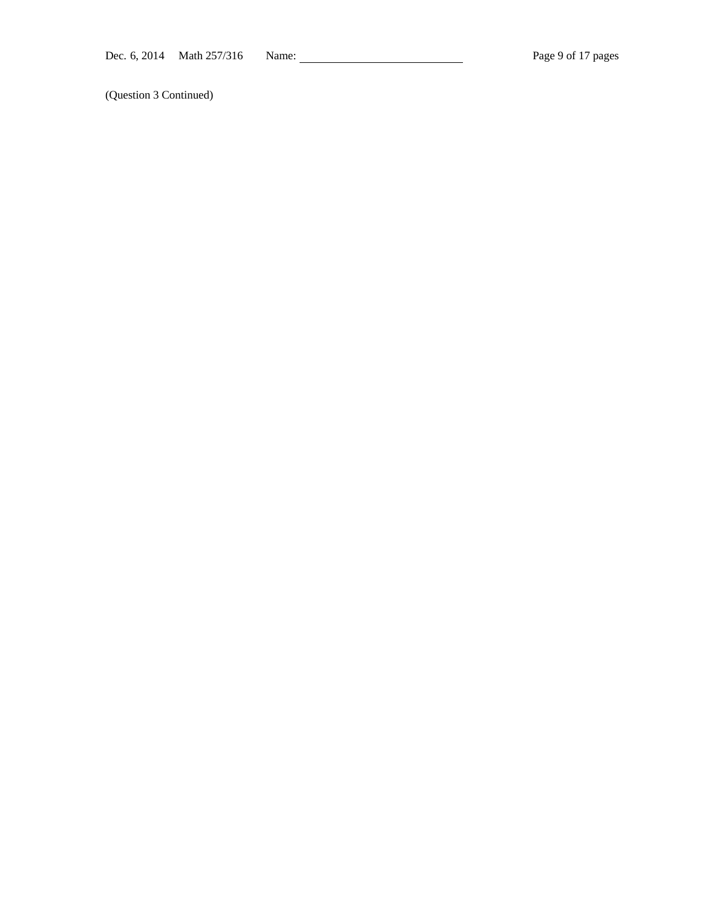(Question 3 Continued)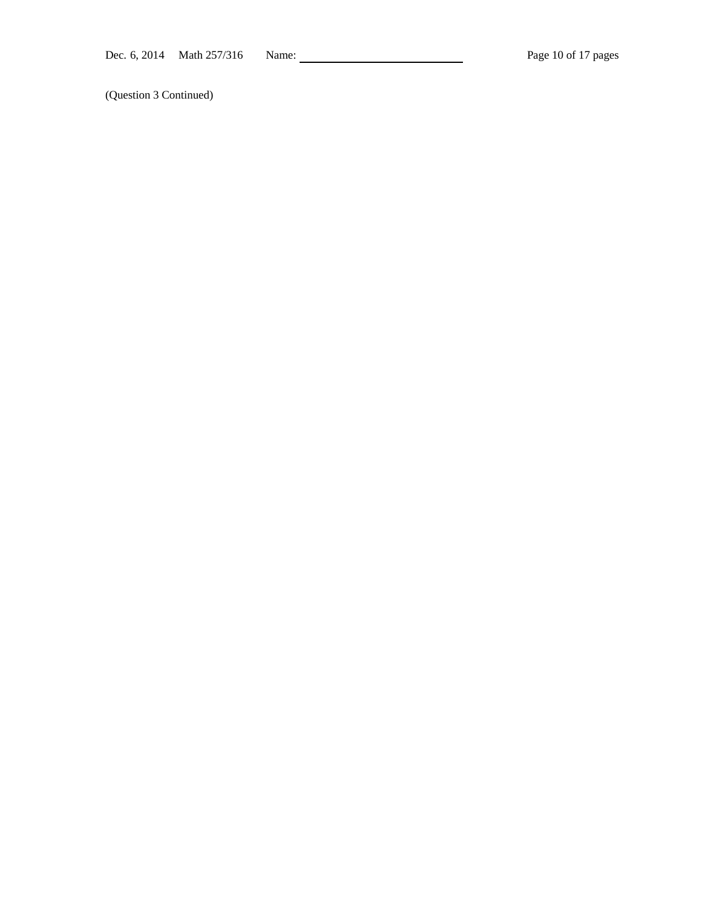(Question 3 Continued)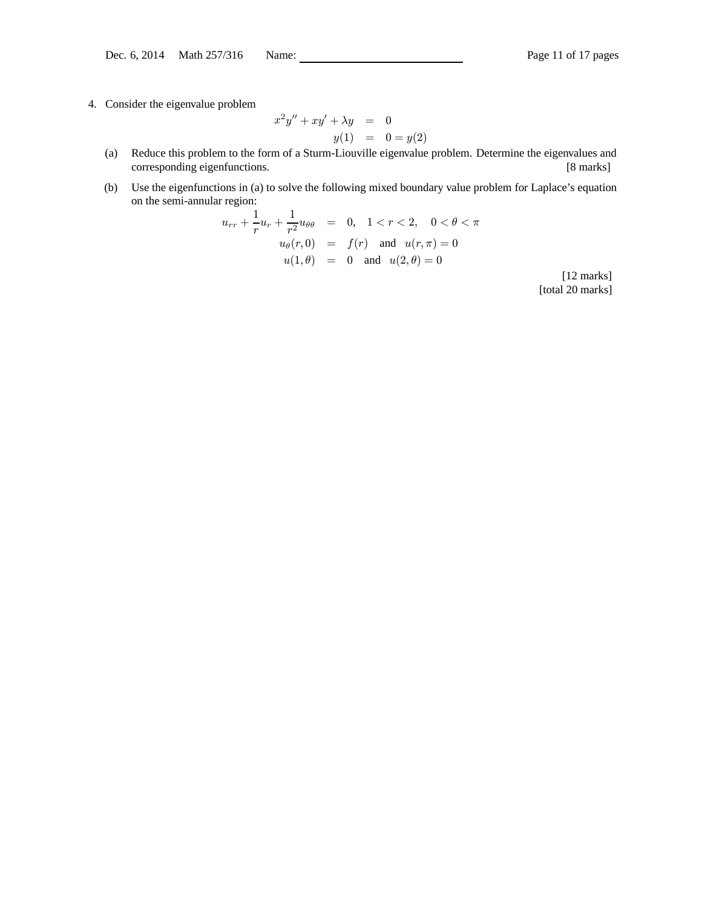4. Consider the eigenvalue problem

$$
x^{2}y'' + xy' + \lambda y = 0
$$
  

$$
y(1) = 0 = y(2)
$$

- (a) Reduce this problem to the form of a Sturm-Liouville eigenvalue problem. Determine the eigenvalues and corresponding eigenfunctions. [8 marks]
- (b) Use the eigenfunctions in (a) to solve the following mixed boundary value problem for Laplace's equation on the semi-annular region:

$$
u_{rr} + \frac{1}{r}u_r + \frac{1}{r^2}u_{\theta\theta} = 0, \quad 1 < r < 2, \quad 0 < \theta < \pi
$$
  

$$
u_{\theta}(r, 0) = f(r) \text{ and } u(r, \pi) = 0
$$
  

$$
u(1, \theta) = 0 \text{ and } u(2, \theta) = 0
$$

[12 marks] [total 20 marks]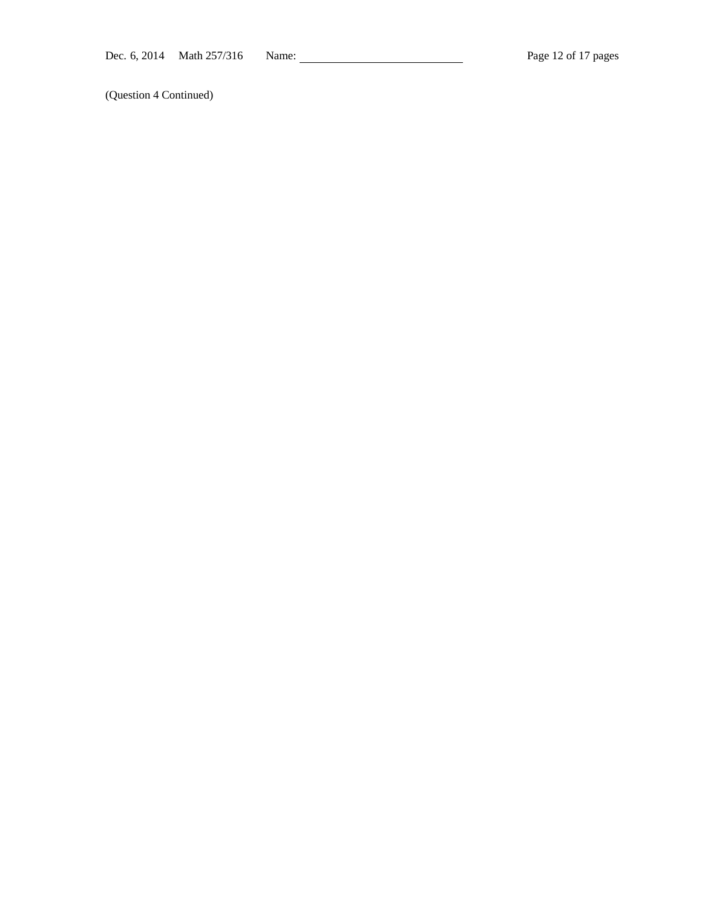(Question 4 Continued)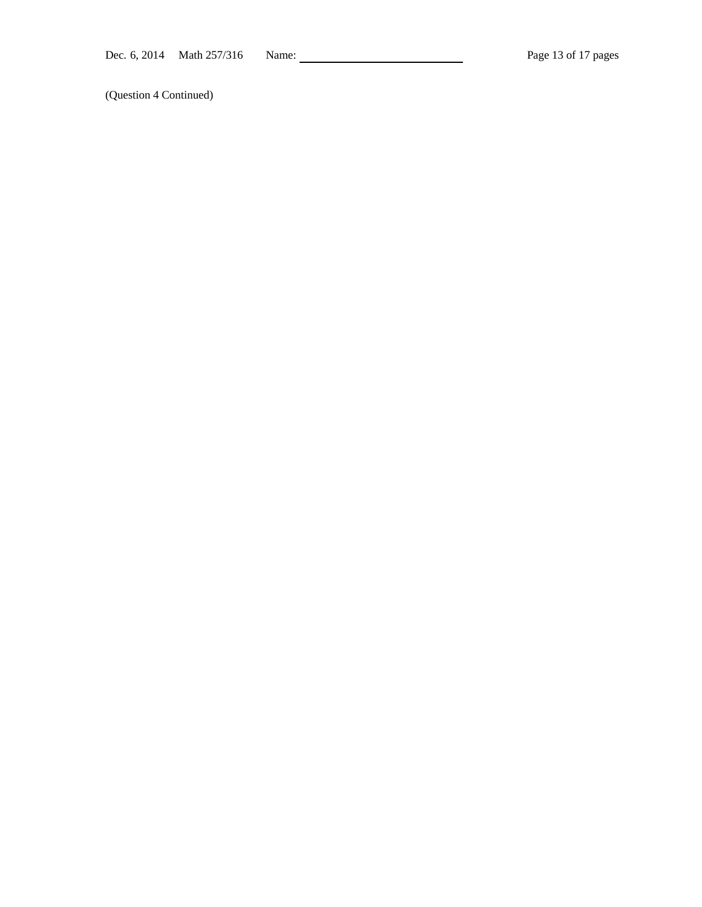(Question 4 Continued)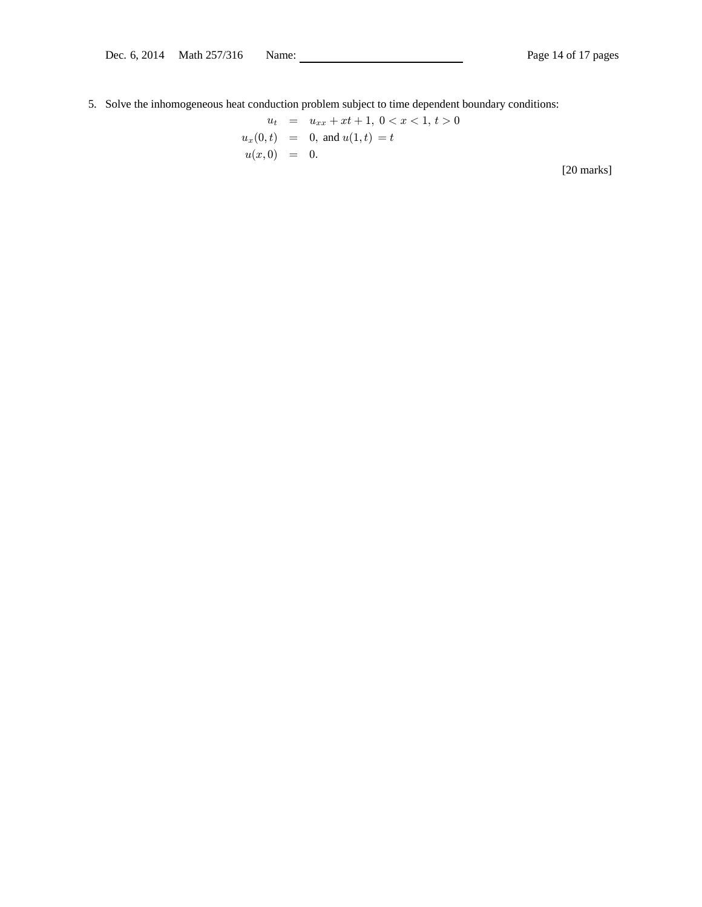5. Solve the inhomogeneous heat conduction problem subject to time dependent boundary conditions:

$$
u_t = u_{xx} + xt + 1, \ 0 < x < 1, \ t > 0
$$
\n
$$
u_x(0, t) = 0, \text{ and } u(1, t) = t
$$
\n
$$
u(x, 0) = 0.
$$
\n[20 marks]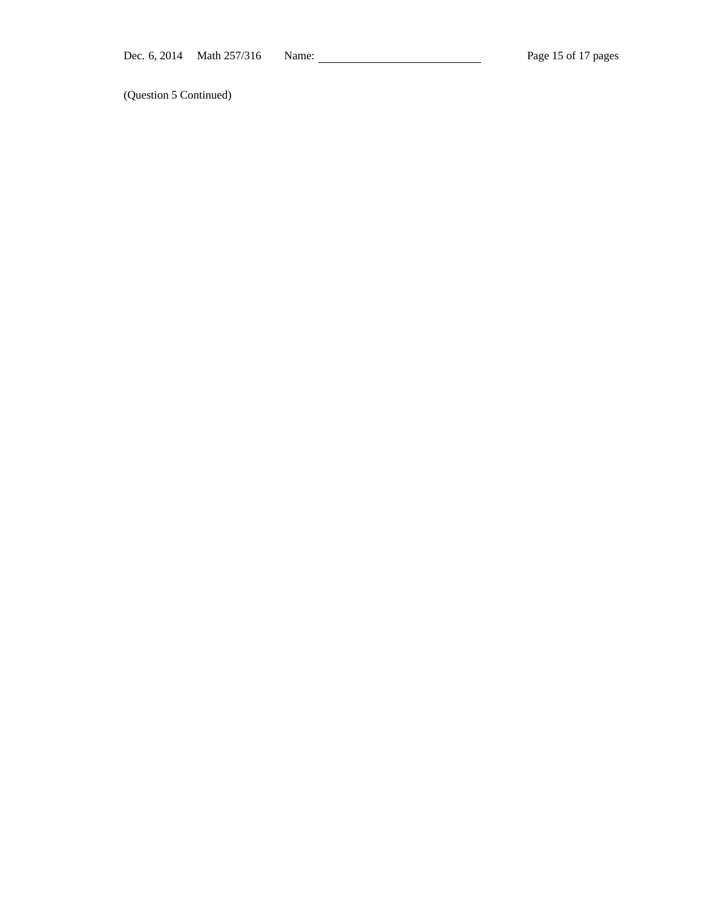(Question 5 Continued)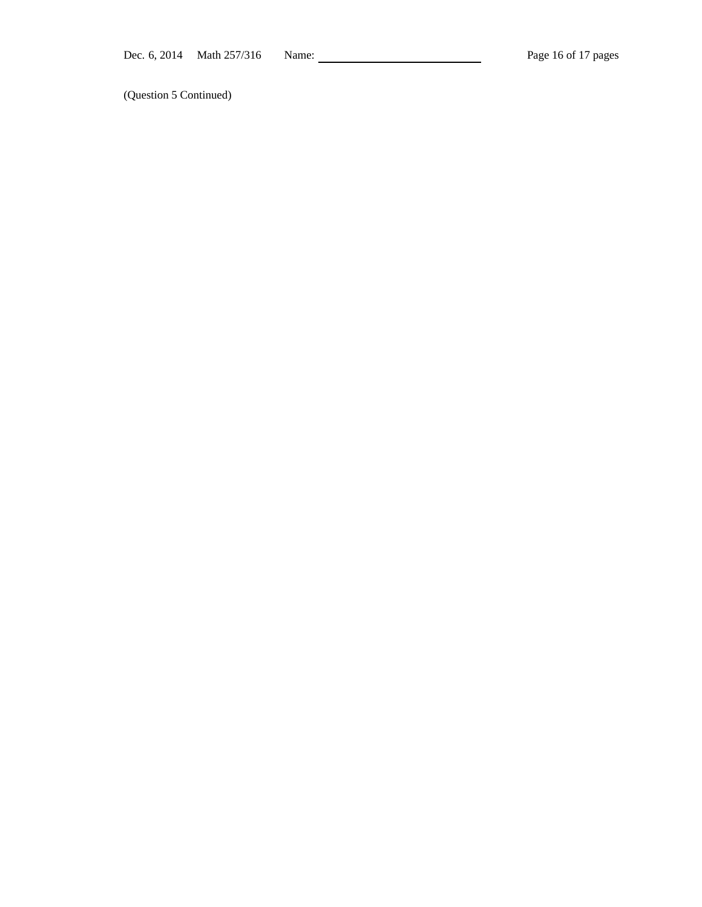(Question 5 Continued)